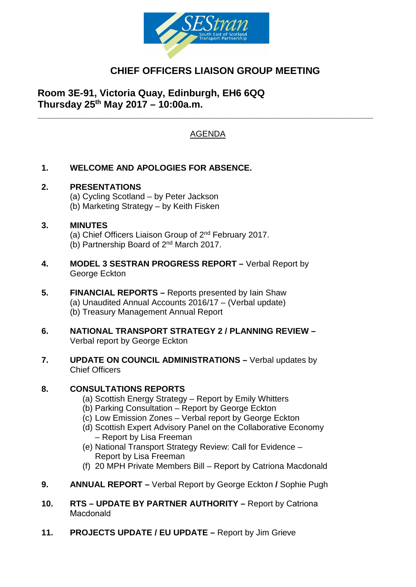

# **CHIEF OFFICERS LIAISON GROUP MEETING**

**Room 3E-91, Victoria Quay, Edinburgh, EH6 6QQ Thursday 25th May 2017 – 10:00a.m.**

## AGENDA

**\_\_\_\_\_\_\_\_\_\_\_\_\_\_\_\_\_\_\_\_\_\_\_\_\_\_\_\_\_\_\_\_\_\_\_\_\_\_\_\_\_\_\_\_\_\_\_\_\_\_\_\_\_\_\_\_\_\_\_\_\_\_\_\_\_\_\_\_\_\_\_\_**

### **1. WELCOME AND APOLOGIES FOR ABSENCE.**

#### **2. PRESENTATIONS**

(a) Cycling Scotland – by Peter Jackson (b) Marketing Strategy – by Keith Fisken

#### **3. MINUTES**

(a) Chief Officers Liaison Group of 2nd February 2017. (b) Partnership Board of 2nd March 2017.

- **4. MODEL 3 SESTRAN PROGRESS REPORT –** Verbal Report by George Eckton
- **5. FINANCIAL REPORTS –** Reports presented by Iain Shaw (a) Unaudited Annual Accounts 2016/17 – (Verbal update) (b) Treasury Management Annual Report
- **6. NATIONAL TRANSPORT STRATEGY 2 / PLANNING REVIEW –** Verbal report by George Eckton
- **7. UPDATE ON COUNCIL ADMINISTRATIONS –** Verbal updates by Chief Officers

#### **8. CONSULTATIONS REPORTS**

- (a) Scottish Energy Strategy Report by Emily Whitters
- (b) Parking Consultation Report by George Eckton
- (c) Low Emission Zones Verbal report by George Eckton
- (d) Scottish Expert Advisory Panel on the Collaborative Economy – Report by Lisa Freeman
- (e) National Transport Strategy Review: Call for Evidence Report by Lisa Freeman
- (f) 20 MPH Private Members Bill Report by Catriona Macdonald
- **9. ANNUAL REPORT –** Verbal Report by George Eckton **/** Sophie Pugh
- **10. RTS UPDATE BY PARTNER AUTHORITY** Report by Catriona Macdonald
- **11. PROJECTS UPDATE / EU UPDATE** Report by Jim Grieve